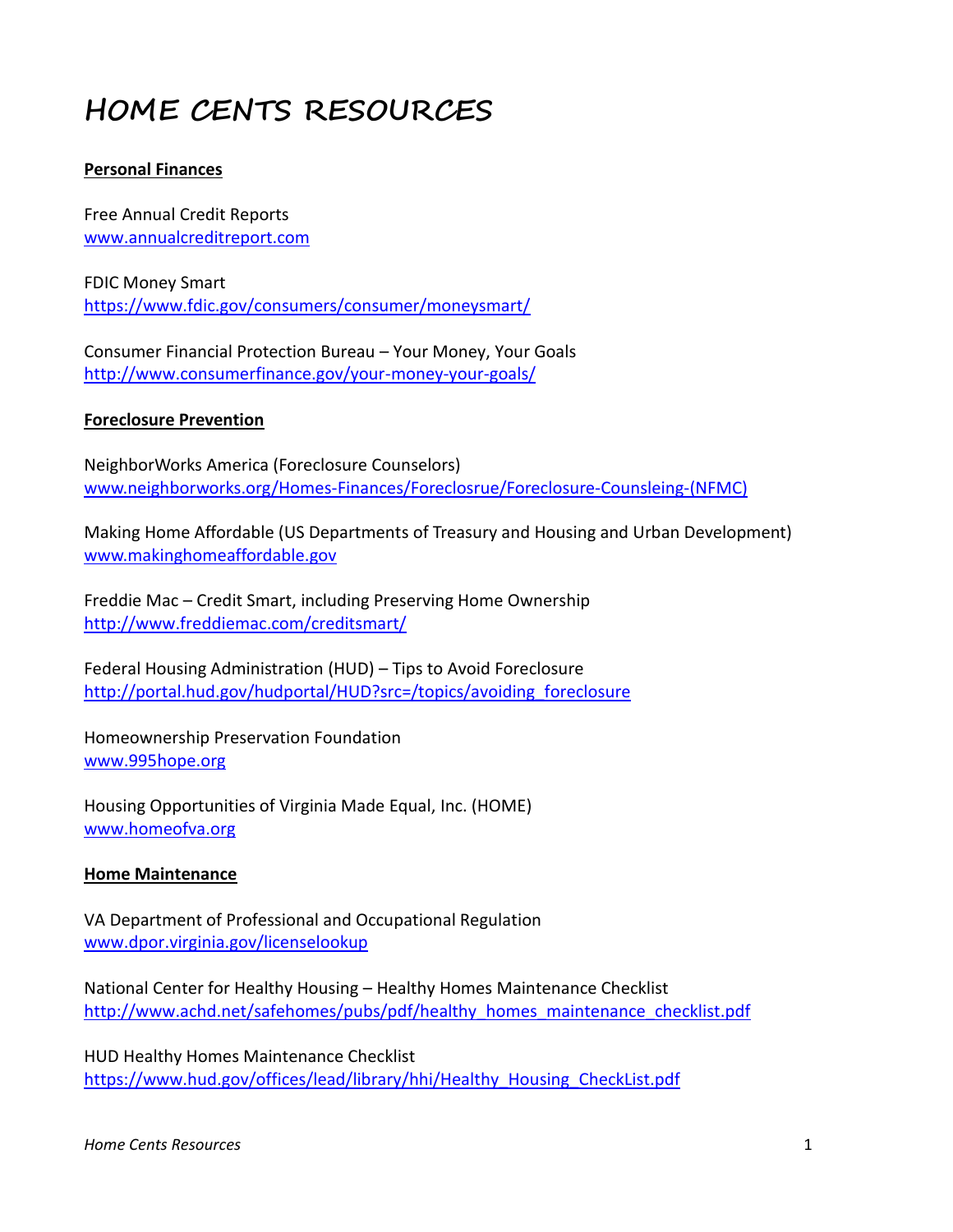# **HOME CENTS RESOURCES**

# **Personal Finances**

Free Annual Credit Reports [www.annualcreditreport.com](http://www.annualcreditreport.com/)

FDIC Money Smart <https://www.fdic.gov/consumers/consumer/moneysmart/>

Consumer Financial Protection Bureau – Your Money, Your Goals <http://www.consumerfinance.gov/your-money-your-goals/>

# **Foreclosure Prevention**

NeighborWorks America (Foreclosure Counselors) www.neighborworks.org/Homes-[Finances/Foreclosrue/Foreclosure](http://www.neighborworks.org/Homes-Finances/Foreclosrue/Foreclosure-Counsleing-(NFMC))-Counsleing-(NFMC)

Making Home Affordable (US Departments of Treasury and Housing and Urban Development) [www.makinghomeaffordable.gov](http://www.makinghomeaffordable.gov/)

Freddie Mac – Credit Smart, including Preserving Home Ownership <http://www.freddiemac.com/creditsmart/>

Federal Housing Administration (HUD) – Tips to Avoid Foreclosure [http://portal.hud.gov/hudportal/HUD?src=/topics/avoiding\\_foreclosure](http://portal.hud.gov/hudportal/HUD?src=/topics/avoiding_foreclosure)

Homeownership Preservation Foundation [www.995hope.org](http://www.995hope.org/)

Housing Opportunities of Virginia Made Equal, Inc. (HOME) [www.homeofva.org](http://www.homeofva.org/)

# **Home Maintenance**

VA Department of Professional and Occupational Regulation www.dpor.virginia.gov/licenselookup

National Center for Healthy Housing – Healthy Homes Maintenance Checklist [http://www.achd.net/safehomes/pubs/pdf/healthy\\_homes\\_maintenance\\_checklist.pdf](http://www.achd.net/safehomes/pubs/pdf/healthy_homes_maintenance_checklist.pdf)

HUD Healthy Homes Maintenance Checklist https://www.hud.gov/offices/lead/library/hhi/Healthy\_Housing\_CheckList.pdf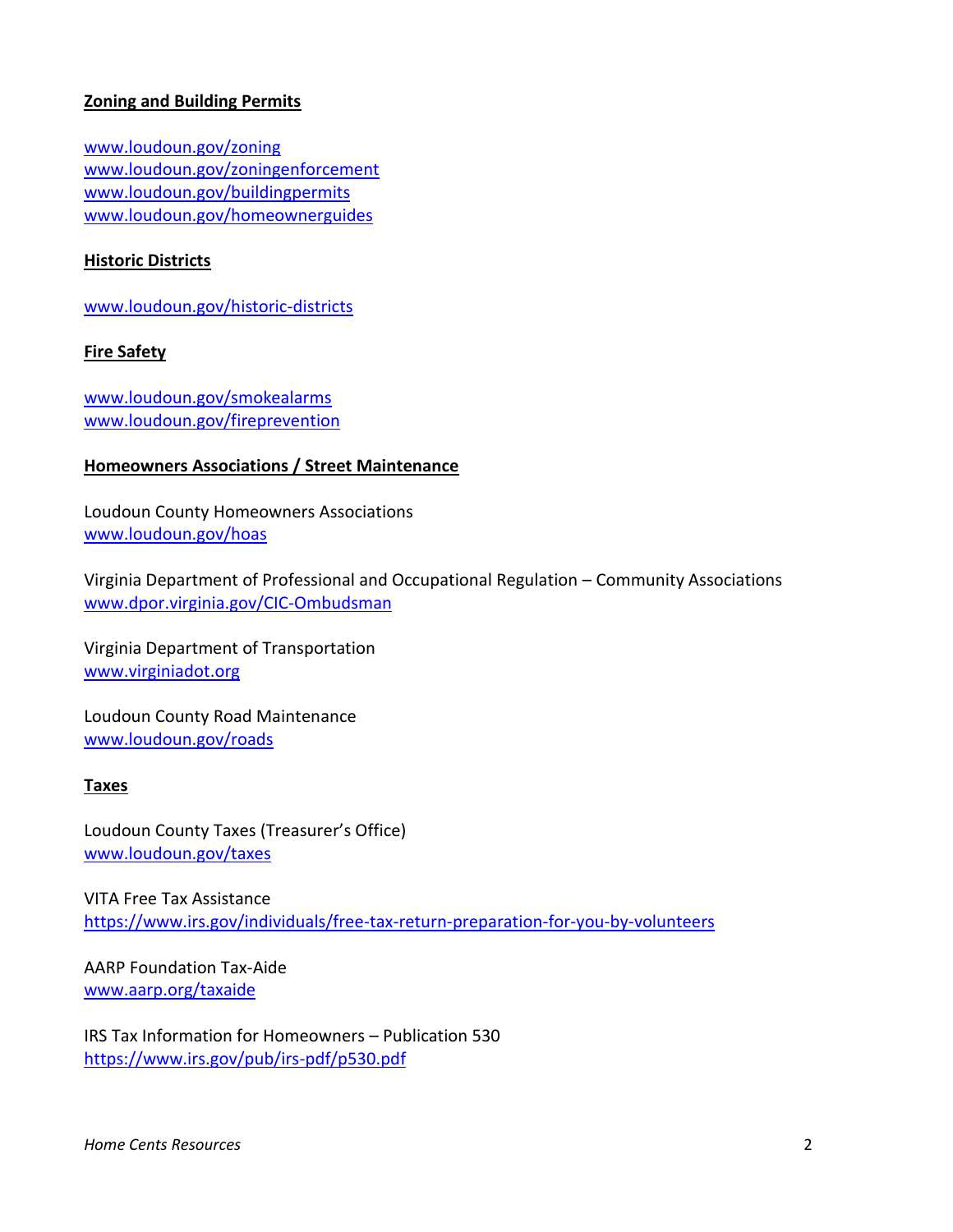# **Zoning and Building Permits**

[www.loudoun.gov/zoning](http://www.loudoun.gov/zoning) [www.loudoun.gov/zoningenforcement](http://www.loudoun.gov/zoningenforcement) www.loudoun.gov/buildingpermits [www.loudoun.gov/homeownerguides](http://www.loudoun.gov/homeownerguides)

## **Historic Districts**

[www.loudoun.gov/historic-districts](http://www.loudoun.gov/historic-districts)

#### **Fire Safety**

[www.loudoun.gov/smokealarms](http://www.loudoun.gov/smokealarms) [www.loudoun.gov/fireprevention](http://www.loudoun.gov/fireprevention)

## **Homeowners Associations / Street Maintenance**

Loudoun County Homeowners Associations [www.loudoun.gov/hoas](http://www.loudoun.gov/hoas)

Virginia Department of Professional and Occupational Regulation – Community Associations [www.dpor.virginia.gov/CIC-Ombudsman](http://www.dpor.virginia.gov/CIC-Ombudsman)

Virginia Department of Transportation [www.virginiadot.org](http://www.virginiadot.org/)

Loudoun County Road Maintenance [www.loudoun.gov/roads](http://www.loudoun.gov/roads)

## **Taxes**

Loudoun County Taxes (Treasurer's Office) [www.loudoun.gov/taxes](http://www.loudoun.gov/taxes)

VITA Free Tax Assistance <https://www.irs.gov/individuals/free-tax-return-preparation-for-you-by-volunteers>

AARP Foundation Tax-Aide [www.aarp.org/taxaide](http://www.aarp.org/taxaide)

IRS Tax Information for Homeowners – Publication 530 <https://www.irs.gov/pub/irs-pdf/p530.pdf>